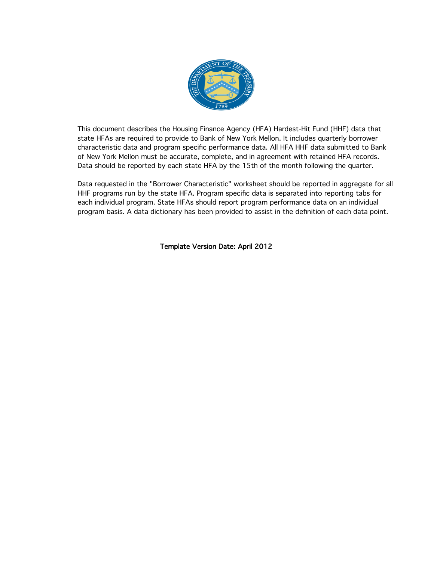

This document describes the Housing Finance Agency (HFA) Hardest-Hit Fund (HHF) data that state HFAs are required to provide to Bank of New York Mellon. It includes quarterly borrower characteristic data and program specific performance data. All HFA HHF data submitted to Bank of New York Mellon must be accurate, complete, and in agreement with retained HFA records. Data should be reported by each state HFA by the 15th of the month following the quarter.

Data requested in the "Borrower Characteristic" worksheet should be reported in aggregate for all HHF programs run by the state HFA. Program specific data is separated into reporting tabs for each individual program. State HFAs should report program performance data on an individual program basis. A data dictionary has been provided to assist in the definition of each data point.

Template Version Date: April 2012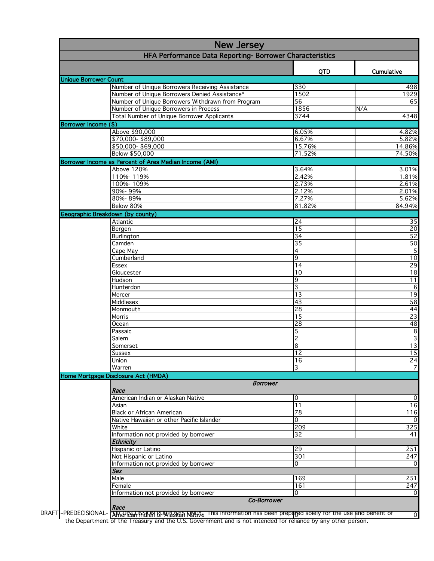|                              | <b>New Jersey</b>                                                                                                    |                     |                             |
|------------------------------|----------------------------------------------------------------------------------------------------------------------|---------------------|-----------------------------|
|                              | HFA Performance Data Reporting- Borrower Characteristics                                                             |                     |                             |
|                              |                                                                                                                      | <b>QTD</b>          | Cumulative                  |
| <b>Unique Borrower Count</b> |                                                                                                                      |                     |                             |
|                              | Number of Unique Borrowers Receiving Assistance                                                                      | 330                 | 498                         |
|                              | Number of Unique Borrowers Denied Assistance*                                                                        | 1502<br>56          | 1929                        |
|                              | Number of Unique Borrowers Withdrawn from Program<br>Number of Unique Borrowers in Process                           | 1856                | 65<br>N/A                   |
|                              | <b>Total Number of Unique Borrower Applicants</b>                                                                    | 3744                | 4348                        |
| Borrower Income (\$)         |                                                                                                                      |                     |                             |
|                              | Above \$90,000                                                                                                       | 6.05%               | 4.82%                       |
|                              | \$70,000-\$89,000                                                                                                    | 6.67%               | 5.82%                       |
|                              | \$50,000-\$69,000                                                                                                    | 15.76%              | 14.86%                      |
|                              | Below \$50,000                                                                                                       | 71.52%              | 74.50%                      |
|                              | Borrower Income as Percent of Area Median Income (AMI)                                                               |                     |                             |
|                              | Above 120%                                                                                                           | 3.64%               | 3.01%                       |
|                              | 110%-119%                                                                                                            | 2.42%               | 1.81%                       |
|                              | 100%-109%                                                                                                            | 2.73%               | 2.61%                       |
|                              | 90%-99%                                                                                                              | 2.12%               | 2.01%                       |
|                              | 80%-89%                                                                                                              | 7.27%               | 5.62%                       |
|                              | Below 80%                                                                                                            | 81.82%              | 84.94%                      |
|                              | Geographic Breakdown (by county)                                                                                     |                     |                             |
|                              | Atlantic                                                                                                             | 24                  | 35                          |
|                              | Bergen                                                                                                               | 15                  | 20                          |
|                              | Burlington                                                                                                           | 34                  | 52                          |
|                              | Camden                                                                                                               | 35                  | 50                          |
|                              | Cape May                                                                                                             | $\overline{4}$      | $\overline{5}$              |
|                              | Cumberland                                                                                                           | $\overline{9}$      | 10                          |
|                              | <b>Essex</b>                                                                                                         | 14                  | 29                          |
|                              | Gloucester<br>Hudson                                                                                                 | 10                  | 18                          |
|                              |                                                                                                                      | 9<br>$\overline{3}$ | 11                          |
|                              | Hunterdon<br>Mercer                                                                                                  | 13                  | $6 \overline{}$<br>19       |
|                              | Middlesex                                                                                                            | 43                  | 58                          |
|                              | Monmouth                                                                                                             | 28                  | 44                          |
|                              | Morris                                                                                                               | $\overline{15}$     | 23                          |
|                              | Ocean                                                                                                                | 28                  | 48                          |
|                              | Passaic                                                                                                              | 5                   |                             |
|                              | Salem                                                                                                                | $\overline{c}$      |                             |
|                              | Somerset                                                                                                             | 8                   | $\frac{1}{\omega}$ $\infty$ |
|                              | <b>Sussex</b>                                                                                                        | $\overline{12}$     | 15                          |
|                              | Union                                                                                                                | 16                  | 24                          |
|                              | Warren                                                                                                               | 3                   |                             |
|                              | Home Mortgage Disclosure Act (HMDA)                                                                                  |                     |                             |
|                              | <b>Borrower</b>                                                                                                      |                     |                             |
|                              | Race                                                                                                                 |                     |                             |
|                              | American Indian or Alaskan Native                                                                                    | 0                   | 0                           |
|                              | Asian                                                                                                                | 11                  | 16                          |
|                              | <b>Black or African American</b>                                                                                     | 78                  | 116                         |
|                              | Native Hawaiian or other Pacific Islander                                                                            | $\overline{0}$      | $\mathbf 0$                 |
|                              | White                                                                                                                | 209                 | 325                         |
|                              | Information not provided by borrower                                                                                 | $\overline{32}$     | 41                          |
|                              | <b>Ethnicity</b>                                                                                                     |                     |                             |
|                              | Hispanic or Latino                                                                                                   | 29<br>301           | 251<br>247                  |
|                              | Not Hispanic or Latino<br>Information not provided by borrower                                                       | 0                   | 0                           |
|                              | Sex                                                                                                                  |                     |                             |
|                              | Male                                                                                                                 | 169                 | 251                         |
|                              | Female                                                                                                               | 161                 | 247                         |
|                              | Information not provided by borrower                                                                                 | 0                   | 0                           |
|                              | Co-Borrower                                                                                                          |                     |                             |
|                              | Race                                                                                                                 |                     |                             |
|                              | FTI-PREDECISIONAL- FURTUISLUSSIUN RURFUSES UNLY, This information has been prepared solely for the use and penent of |                     | $\cap$                      |

DRAFT –PREDECISIONAL- FA<del>RAJISAUSNAN RUMAASS NINI</del>X – This information has been prepared solely for the use and benefit of the Department of the Treasury and the U.S. Government and is not intended for reliance by any other person. American Indian or Alaskan Native This information has been prepared solely for the use and benefit of  $\sigma$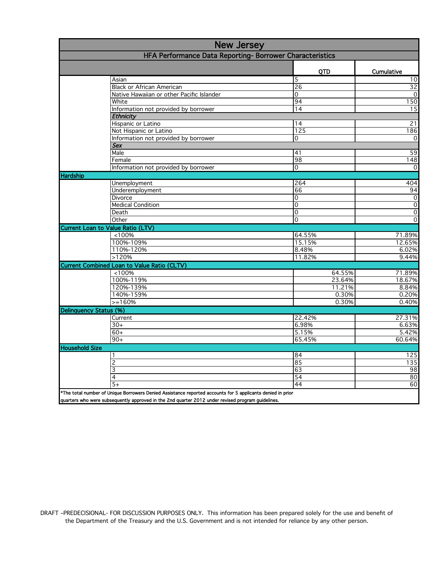|                                          | <b>New Jersey</b>                                                                                          |            |                     |
|------------------------------------------|------------------------------------------------------------------------------------------------------------|------------|---------------------|
|                                          | HFA Performance Data Reporting- Borrower Characteristics                                                   |            |                     |
|                                          |                                                                                                            | <b>QTD</b> | Cumulative          |
|                                          | Asian                                                                                                      | 5          | 10                  |
|                                          | <b>Black or African American</b>                                                                           | 26         | 32                  |
|                                          | Native Hawaiian or other Pacific Islander                                                                  | $\Omega$   | $\Omega$            |
|                                          | White                                                                                                      | 94         | 150                 |
|                                          | Information not provided by borrower                                                                       | 14         | 15                  |
|                                          | <b>Ethnicity</b>                                                                                           |            |                     |
|                                          | Hispanic or Latino                                                                                         | 14         | $\overline{21}$     |
|                                          | Not Hispanic or Latino                                                                                     | 125        | 186                 |
|                                          | Information not provided by borrower                                                                       | $\Omega$   | $\Omega$            |
|                                          | Sex                                                                                                        |            |                     |
|                                          | Male                                                                                                       | 41         | $\overline{59}$     |
|                                          | Female                                                                                                     | 98         | 148                 |
|                                          | Information not provided by borrower                                                                       | $\Omega$   | $\Omega$            |
| <b>Hardship</b>                          |                                                                                                            |            |                     |
|                                          | <b>Unemployment</b>                                                                                        | 264        | 404                 |
|                                          | Underemployment                                                                                            | 66         | 94                  |
|                                          | Divorce                                                                                                    | $\Omega$   | $\mathsf{O}\xspace$ |
|                                          | <b>Medical Condition</b>                                                                                   | $\Omega$   | $\overline{0}$      |
|                                          | Death                                                                                                      | 0          | $\overline{0}$      |
|                                          | Other                                                                                                      | $\Omega$   | $\mathsf{O}\xspace$ |
| <b>Current Loan to Value Ratio (LTV)</b> |                                                                                                            |            |                     |
|                                          | < 100%                                                                                                     | 64.55%     | 71.89%              |
|                                          | 100%-109%                                                                                                  | 15.15%     | 12.65%              |
|                                          | 110%-120%                                                                                                  | 8.48%      | 6.02%               |
|                                          | >120%                                                                                                      | 11.82%     | 9.44%               |
|                                          | Current Combined Loan to Value Ratio (CLTV)                                                                |            |                     |
|                                          | 100%                                                                                                       | 64.55%     | 71.89%              |
|                                          | 100%-119%                                                                                                  | 23.64%     | 18.67%              |
|                                          | 120%-139%                                                                                                  | 11.21%     | 8.84%               |
|                                          | 140%-159%                                                                                                  | 0.30%      | 0.20%               |
|                                          | $>=160%$                                                                                                   | 0.30%      | 0.40%               |
| Delinquency Status (%)                   |                                                                                                            |            |                     |
|                                          | Current                                                                                                    | 22.42%     | 27.31%              |
|                                          | $30+$                                                                                                      | 6.98%      | 6.63%               |
|                                          | $60+$                                                                                                      | 5.15%      | 5.42%               |
|                                          | $90+$                                                                                                      | 65.45%     | 60.64%              |
| <b>Household Size</b>                    |                                                                                                            |            |                     |
|                                          | 1                                                                                                          | 84         | 125                 |
|                                          | $\overline{\mathbf{c}}$                                                                                    | 85         | 135                 |
|                                          | 3                                                                                                          | 63         | 98                  |
|                                          | 4                                                                                                          | 54         | 80                  |
|                                          | $5+$                                                                                                       | 44         | 60                  |
|                                          | *The total number of Unique Borrowers Denied Assistance reported accounts for 5 applicants denied in prior |            |                     |
|                                          | quarters who were subsequently approved in the 2nd quarter 2012 under revised program guidelines.          |            |                     |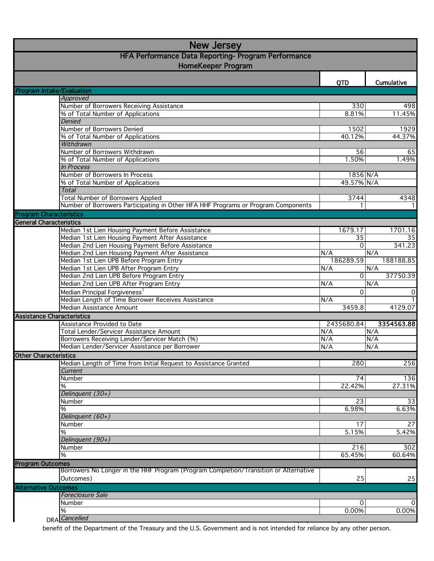|                                   | <b>New Jersey</b>                                                                    |                 |                     |
|-----------------------------------|--------------------------------------------------------------------------------------|-----------------|---------------------|
|                                   | HFA Performance Data Reporting- Program Performance                                  |                 |                     |
|                                   | <b>HomeKeeper Program</b>                                                            |                 |                     |
|                                   |                                                                                      |                 |                     |
| <b>Program Intake/Evaluation</b>  |                                                                                      | <b>QTD</b>      | Cumulative          |
|                                   | Approved                                                                             |                 |                     |
|                                   | Number of Borrowers Receiving Assistance                                             | 330             | 498                 |
|                                   | % of Total Number of Applications                                                    | 8.81%           | 11.45%              |
|                                   | <b>Denied</b>                                                                        |                 |                     |
|                                   | Number of Borrowers Denied                                                           | 1502            | 1929                |
|                                   | % of Total Number of Applications                                                    | 40.12%          | 44.37%              |
|                                   | Withdrawn                                                                            |                 |                     |
|                                   | Number of Borrowers Withdrawn                                                        | 56              | 65                  |
|                                   | % of Total Number of Applications                                                    | 1.50%           | 1.49%               |
|                                   | <b>In Process</b>                                                                    |                 |                     |
|                                   | Number of Borrowers In Process                                                       | 1856 N/A        |                     |
|                                   | % of Total Number of Applications                                                    | 49.57% N/A      |                     |
|                                   | <b>Total</b><br><b>Total Number of Borrowers Applied</b>                             | 3744            | 4348                |
|                                   | Number of Borrowers Participating in Other HFA HHF Programs or Program Components    |                 |                     |
| <b>Program Characteristics</b>    |                                                                                      |                 |                     |
| <b>General Characteristics</b>    |                                                                                      |                 |                     |
|                                   | Median 1st Lien Housing Payment Before Assistance                                    | 1679.17         | 1701.16             |
|                                   | Median 1st Lien Housing Payment After Assistance                                     | $\overline{35}$ | 35                  |
|                                   | Median 2nd Lien Housing Payment Before Assistance                                    | $\Omega$        | 341.23              |
|                                   | Median 2nd Lien Housing Payment After Assistance                                     | N/A             | N/A                 |
|                                   | Median 1st Lien UPB Before Program Entry                                             | 186289.59       | 188188.85           |
|                                   | Median 1st Lien UPB After Program Entry                                              | N/A             | N/A                 |
|                                   | Median 2nd Lien UPB Before Program Entry                                             | $\mathbf 0$     | 37750.39            |
|                                   | Median 2nd Lien UPB After Program Entry                                              | N/A             | N/A                 |
|                                   | Median Principal Forgiveness <sup>1</sup>                                            | $\Omega$        | $\mathsf{O}\xspace$ |
|                                   | Median Length of Time Borrower Receives Assistance                                   | N/A             |                     |
|                                   | Median Assistance Amount                                                             | 3459.8          | 4129.07             |
| <b>Assistance Characteristics</b> |                                                                                      |                 |                     |
|                                   | Assistance Provided to Date                                                          | 2435680.84      | 3354563.88          |
|                                   | Total Lender/Servicer Assistance Amount                                              | N/A             | N/A                 |
|                                   | Borrowers Receiving Lender/Servicer Match (%)                                        | N/A             | N/A                 |
|                                   | Median Lender/Servicer Assistance per Borrower                                       | N/A             | N/A                 |
| <b>Other Characteristics</b>      |                                                                                      |                 |                     |
|                                   | Median Length of Time from Initial Request to Assistance Granted                     | 280             | 256                 |
|                                   | Current                                                                              |                 |                     |
|                                   | Number                                                                               | 74              | 136                 |
|                                   | %                                                                                    | 22.42%          | 27.31%              |
|                                   | Delinquent (30+)                                                                     |                 |                     |
|                                   | Number                                                                               | 23              | 33                  |
|                                   | %                                                                                    | 6.98%           | 6.63%               |
|                                   | Delinquent (60+)                                                                     |                 |                     |
|                                   | Number<br>%                                                                          | 17<br>5.15%     | 27<br>5.42%         |
|                                   | Delinquent (90+)                                                                     |                 |                     |
|                                   | Number                                                                               | 216             | 302                 |
|                                   | %                                                                                    | 65.45%          | 60.64%              |
| <b>Program Outcomes</b>           |                                                                                      |                 |                     |
|                                   | Borrowers No Longer in the HHF Program (Program Completion/Transition or Alternative |                 |                     |
|                                   | Outcomes)                                                                            | 25              | 25                  |
| <b>Alternative Outcomes</b>       |                                                                                      |                 |                     |
|                                   | <b>Foreclosure Sale</b>                                                              |                 |                     |
|                                   | Number                                                                               | 0               | 0                   |
|                                   | %                                                                                    | 0.00%           | 0.00%               |
|                                   | DRA Cancelled                                                                        |                 |                     |

benefit of the Department of the Treasury and the U.S. Government and is not intended for reliance by any other person.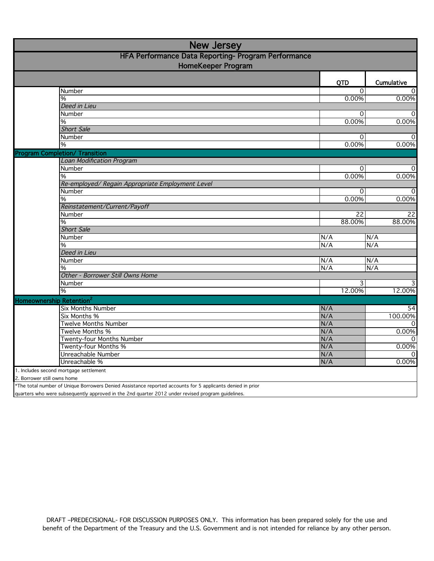| <b>New Jersey</b>                                                                                                                                                                                             |            |                    |
|---------------------------------------------------------------------------------------------------------------------------------------------------------------------------------------------------------------|------------|--------------------|
| HFA Performance Data Reporting- Program Performance                                                                                                                                                           |            |                    |
| <b>HomeKeeper Program</b>                                                                                                                                                                                     |            |                    |
|                                                                                                                                                                                                               |            |                    |
|                                                                                                                                                                                                               | <b>QTD</b> | Cumulative         |
| Number                                                                                                                                                                                                        | 0          | $\Omega$           |
| %                                                                                                                                                                                                             | 0.00%      | 0.00%              |
| Deed in Lieu                                                                                                                                                                                                  |            |                    |
| Number                                                                                                                                                                                                        | 0          | 0                  |
| %                                                                                                                                                                                                             | 0.00%      | 0.00%              |
| <b>Short Sale</b>                                                                                                                                                                                             |            |                    |
| Number                                                                                                                                                                                                        | 0          | $\overline{\circ}$ |
| %                                                                                                                                                                                                             | 0.00%      | 0.00%              |
| <b>Program Completion/ Transition</b>                                                                                                                                                                         |            |                    |
| <b>Loan Modification Program</b>                                                                                                                                                                              |            |                    |
| Number                                                                                                                                                                                                        | $\Omega$   | $\Omega$           |
| %                                                                                                                                                                                                             | 0.00%      | 0.00%              |
| Re-employed/ Regain Appropriate Employment Level                                                                                                                                                              |            |                    |
| Number                                                                                                                                                                                                        | 0<br>0.00% | $\overline{O}$     |
| ℅<br>Reinstatement/Current/Payoff                                                                                                                                                                             |            | 0.00%              |
| Number                                                                                                                                                                                                        | 22         | 22                 |
| %                                                                                                                                                                                                             | 88.00%     | 88.00%             |
| <b>Short Sale</b>                                                                                                                                                                                             |            |                    |
| Number                                                                                                                                                                                                        | N/A        | N/A                |
| %                                                                                                                                                                                                             | N/A        | N/A                |
| Deed in Lieu                                                                                                                                                                                                  |            |                    |
| Number                                                                                                                                                                                                        | N/A        | N/A                |
| %                                                                                                                                                                                                             | N/A        | N/A                |
| Other - Borrower Still Owns Home                                                                                                                                                                              |            |                    |
| Number                                                                                                                                                                                                        | 3          | $\overline{3}$     |
| %                                                                                                                                                                                                             | 12.00%     | 12.00%             |
| Homeownership Retention <sup>2</sup>                                                                                                                                                                          |            |                    |
| Six Months Number                                                                                                                                                                                             | N/A        | 54                 |
| Six Months %                                                                                                                                                                                                  | N/A        | 100.00%            |
| <b>Twelve Months Number</b>                                                                                                                                                                                   | N/A        | $\overline{O}$     |
| Twelve Months %                                                                                                                                                                                               | N/A        | 0.00%              |
| <b>Twenty-four Months Number</b>                                                                                                                                                                              | N/A        | 0                  |
| Twenty-four Months %                                                                                                                                                                                          | N/A        | 0.00%              |
| Unreachable Number                                                                                                                                                                                            | N/A        | $\Omega$           |
| Unreachable %                                                                                                                                                                                                 | N/A        | 0.00%              |
| 1. Includes second mortgage settlement                                                                                                                                                                        |            |                    |
| 2. Borrower still owns home                                                                                                                                                                                   |            |                    |
| *The total number of Unique Borrowers Denied Assistance reported accounts for 5 applicants denied in prior<br>unitary who were subcoguently enproyed in the 2nd querter 2012 under revised pregram quidelines |            |                    |

quarters who were subsequently approved in the 2nd quarter 2012 under revised program guidelines.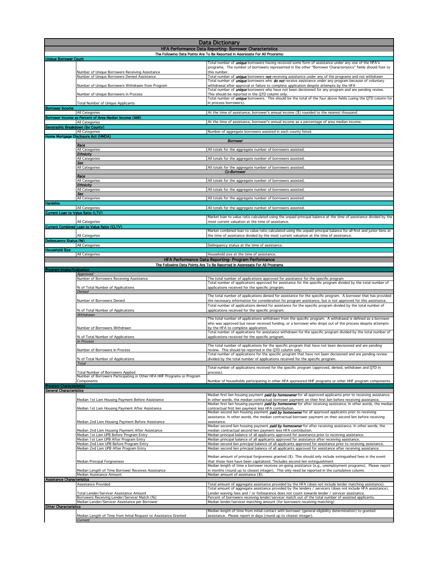|                                   | <b>Data Dictionary</b>                                                                                             |                                                                                                                                                                                                                                                             |  |
|-----------------------------------|--------------------------------------------------------------------------------------------------------------------|-------------------------------------------------------------------------------------------------------------------------------------------------------------------------------------------------------------------------------------------------------------|--|
|                                   |                                                                                                                    | HFA Performance Data Reporting- Borrower Characteristics                                                                                                                                                                                                    |  |
| <b>Unique Borrower Count</b>      |                                                                                                                    | The Following Data Points Are To Be Reported In Aggregate For All Programs:                                                                                                                                                                                 |  |
|                                   | Number of Unique Borrowers Receiving Assistance                                                                    | Total number of <i>unique</i> borrowers having received some form of assistance under any one of the HFA's<br>programs. The number of borrowers represented in the other "Borrower Characteristics" fields should foot to<br>this number.                   |  |
|                                   | Number of Unique Borrowers Denied Assistance                                                                       | Total number of <i>unique</i> borrowers not receiving assistance under any of the programs and not withdrawn<br>Total number of <i>unique</i> borrowers who <i>do not</i> receive assistance under any program because of voluntary                         |  |
|                                   | Number of Unique Borrowers Withdrawn from Program<br>Number of Unique Borrowers in Process                         | withdrawal after approval or failure to complete application despite attempts by the HFA<br>Total number of <i>unique</i> borrowers who have not been decisioned for any program and are pending review.<br>This should be reported in the QTD column only. |  |
| <b>Borrower Income</b>            | <b>Total Number of Unique Applicants</b>                                                                           | Total number of <i>unique</i> borrowers. This should be the total of the four above fields (using the QTD column for<br>in process borrowers).                                                                                                              |  |
|                                   | All Categories                                                                                                     | At the time of assistance, borrower's annual income (\$) rounded to the nearest thousand.                                                                                                                                                                   |  |
|                                   | Borrower Income as Percent of Area Median Income (AMI)<br>All Categories                                           | At the time of assistance, borrower's annual income as a percentage of area median income.                                                                                                                                                                  |  |
| Geographic Breakdown (by County)  |                                                                                                                    |                                                                                                                                                                                                                                                             |  |
|                                   | All Categories<br>Home Mortgage Disclosure Act (HMDA)                                                              | Number of aggregate borrowers assisted in each county listed.                                                                                                                                                                                               |  |
|                                   |                                                                                                                    | Borrower                                                                                                                                                                                                                                                    |  |
|                                   | Race<br>All Categories                                                                                             | All totals for the aggregate number of borrowers assisted.                                                                                                                                                                                                  |  |
|                                   | <b>Ethnicity</b><br>All Categories                                                                                 | All totals for the aggregate number of borrowers assisted.                                                                                                                                                                                                  |  |
|                                   | Sex                                                                                                                |                                                                                                                                                                                                                                                             |  |
|                                   | All Categories                                                                                                     | All totals for the aggregate number of borrowers assisted.<br>Co-Borrower                                                                                                                                                                                   |  |
|                                   | Race                                                                                                               |                                                                                                                                                                                                                                                             |  |
|                                   | All Categories<br><b>Ethnicity</b>                                                                                 | All totals for the aggregate number of borrowers assisted.                                                                                                                                                                                                  |  |
|                                   | All Categories<br>Sex                                                                                              | All totals for the aggregate number of borrowers assisted.                                                                                                                                                                                                  |  |
|                                   | All Categories                                                                                                     | All totals for the aggregate number of borrowers assisted.                                                                                                                                                                                                  |  |
| Hardship                          | All Categories                                                                                                     | All totals for the aggregate number of borrowers assisted.                                                                                                                                                                                                  |  |
| Current Loan to Value Ratio (LTV) |                                                                                                                    |                                                                                                                                                                                                                                                             |  |
|                                   | All Categories<br>Current Combined Loan to Value Ratio (CLTV)                                                      | Market loan to value ratio calculated using the unpaid principal balance at the time of assistance divided by the<br>most current valuation at the time of assistance.                                                                                      |  |
| <b>Delinquency Status (%)</b>     | All Categories                                                                                                     | Market combined loan to value ratio calculated using the unpaid principal balance for all first and junior liens at<br>the time of assistance divided by the most current valuation at the time of assistance.                                              |  |
|                                   | All Categories                                                                                                     | Delinquency status at the time of assistance.                                                                                                                                                                                                               |  |
| <b>Household Size</b>             | All Categories                                                                                                     | Household size at the time of assistance.                                                                                                                                                                                                                   |  |
|                                   |                                                                                                                    | HFA Performance Data Reporting- Program Performance                                                                                                                                                                                                         |  |
|                                   |                                                                                                                    | The Following Data Points Are To Be Reported In Aggregate For All Programs                                                                                                                                                                                  |  |
| rogram Intake/Evaluation          | Approved                                                                                                           |                                                                                                                                                                                                                                                             |  |
|                                   | Number of Borrowers Receiving Assistance                                                                           | The total number of applications approved for assistance for the specific program<br>Total number of applications approved for assistance for the specific program divided by the total number of                                                           |  |
|                                   | % of Total Number of Applications                                                                                  | applications received for the specific program.                                                                                                                                                                                                             |  |
|                                   | Denied                                                                                                             | The total number of applications denied for assistance for the specific program. A borrower that has provided                                                                                                                                               |  |
|                                   | Number of Borrowers Denied                                                                                         | the necessary information for consideration for program assistance, but is not approved for this assistance.<br>Total number of applications denied for assistance for the specific program divided by the total number of                                  |  |
|                                   | % of Total Number of Applications                                                                                  | applications received for the specific program.                                                                                                                                                                                                             |  |
|                                   | Withdrawn                                                                                                          | The total number of applications withdrawn from the specific program. A withdrawal is defined as a borrower                                                                                                                                                 |  |
|                                   | Number of Borrowers Withdrawn                                                                                      | who was approved but never received funding, or a borrower who drops out of the process despite attempts<br>by the HFA to complete application.                                                                                                             |  |
|                                   |                                                                                                                    | Total number of applications for assistance withdrawn for the specific program divided by the total number of                                                                                                                                               |  |
|                                   | % of Total Number of Applications<br>In Process                                                                    | applications received for the specific program.                                                                                                                                                                                                             |  |
|                                   |                                                                                                                    | The total number of applications for the specific program that have not been decisioned and are pending                                                                                                                                                     |  |
|                                   | Number of Borrowers In Process                                                                                     | review. This should be reported in the QTD column only.<br>Total number of applications for the specific program that have not been decisioned and are pending review                                                                                       |  |
|                                   | % of Total Number of Applications<br>Total                                                                         | divided by the total number of applications received for the specific program.                                                                                                                                                                              |  |
|                                   |                                                                                                                    | Total number of applications received for the specific program (approved, denied, withdrawn and QTD in                                                                                                                                                      |  |
|                                   | <b>Total Number of Borrowers Applied</b><br>Number of Borrowers Participating in Other HFA HHF Programs or Program | process)                                                                                                                                                                                                                                                    |  |
| 'rogram Charac                    | Components                                                                                                         | Number of households participating in other HFA sponsored HHF programs or other HHF program components.                                                                                                                                                     |  |
| <b>General Characteristics</b>    |                                                                                                                    |                                                                                                                                                                                                                                                             |  |
|                                   | Median 1st Lien Housing Payment Before Assistance                                                                  | Median first lien housing payment <b>paid by homeowner</b> for all approved applicants prior to receiving assistance.<br>In other words, the median contractual borrower payment on their first lien before receiving assistance.                           |  |
|                                   | Median 1st Lien Housing Payment After Assistance                                                                   | Median first lien housing payment <b>paid by homeowner</b> for after receiving assistance. In other words, the median<br>contractual first lien payment less HFA contribution.                                                                              |  |
|                                   | Median 2nd Lien Housing Payment Before Assistance                                                                  | Median second lien housing payment <i>paid by homeowner</i> for all approved applicants prior to receiving<br>assistance. In other words, the median contractual borrower payment on their second lien before receiving<br>assistance.                      |  |
|                                   |                                                                                                                    | Median second lien housing payment <i>paid by homeowner</i> for after receiving assistance. In other words, the                                                                                                                                             |  |
|                                   | Median 2nd Lien Housing Payment After Assistance<br>Median 1st Lien UPB Before Program Entry                       | median contractual second lien payment less HFA contribution.<br>Median principal balance of all applicants approved for assistance prior to receiving assistance                                                                                           |  |
|                                   | Median 1st Lien UPB After Program Entry<br>Median 2nd Lien UPB Before Program Entry                                | Median principal balance of all applicants approved for assistance after receiving assistance.<br>Median second lien principal balance of all applicants approved for assistance prior to receiving assistance.                                             |  |
|                                   | Median 2nd Lien UPB After Program Entry                                                                            | Median second lien principal balance of all applicants approved for assistance after receiving assistance.                                                                                                                                                  |  |
|                                   | <b>Median Principal Forgiveness</b>                                                                                | Median amount of principal forgiveness granted (\$). This should only include extinguished fees in the event<br>that those fees have been capitalized. *Includes second lien extinguishment                                                                 |  |
|                                   | Median Length of Time Borrower Receives Assistance                                                                 | Median length of time a borrower receives on-going assistance (e.g., unemployment programs). Please report<br>in months (round up to closest integer). This only need be reported in the cumulative column.                                                 |  |
|                                   | Median Assistance Amount                                                                                           | Median amount of assistance (\$).                                                                                                                                                                                                                           |  |
| <b>Assistance Characteristics</b> | Assistance Provided                                                                                                | Total amount of aggregate assistance provided by the HFA (does not include lender matching assistance)                                                                                                                                                      |  |
|                                   |                                                                                                                    | Total amount of aggregate assistance provided by the lenders / servicers (does not include HFA assistance).                                                                                                                                                 |  |
|                                   | Total Lender/Servicer Assistance Amount<br>Borrowers Receiving Lender/Servicer Match (%)                           | Lender waiving fees and / or forbearance does not count towards lender / servicer assistance.<br>Percent of borrowers receiving lender/servicer match out of the total number of assisted applicants.                                                       |  |
| <b>Other Characteristics</b>      | Median Lender/Servicer Assistance per Borrower                                                                     | Median lender/servicer matching amount (for borrowers receiving matching)                                                                                                                                                                                   |  |
|                                   |                                                                                                                    | Median length of time from initial contact with borrower (general eligibility determination) to granted                                                                                                                                                     |  |
|                                   | Median Length of Time from Initial Request to Assistance Granted<br>Current                                        | assistance. Please report in days (round up to closest integer).                                                                                                                                                                                            |  |